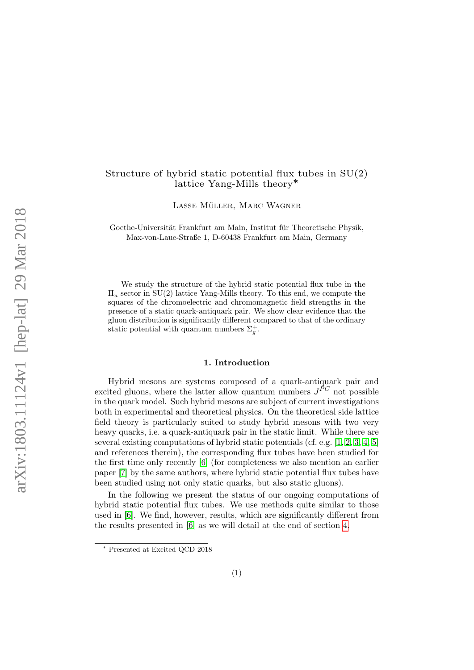## Structure of hybrid static potential flux tubes in SU(2) lattice Yang-Mills theory∗

LASSE MÜLLER, MARC WAGNER

Goethe-Universität Frankfurt am Main, Institut für Theoretische Physik, Max-von-Laue-Straße 1, D-60438 Frankfurt am Main, Germany

We study the structure of the hybrid static potential flux tube in the  $\Pi_u$  sector in SU(2) lattice Yang-Mills theory. To this end, we compute the squares of the chromoelectric and chromomagnetic field strengths in the presence of a static quark-antiquark pair. We show clear evidence that the gluon distribution is significantly different compared to that of the ordinary static potential with quantum numbers  $\Sigma_g^+$ .

### 1. Introduction

Hybrid mesons are systems composed of a quark-antiquark pair and excited gluons, where the latter allow quantum numbers  $J^{PC}$  not possible in the quark model. Such hybrid mesons are subject of current investigations both in experimental and theoretical physics. On the theoretical side lattice field theory is particularly suited to study hybrid mesons with two very heavy quarks, i.e. a quark-antiquark pair in the static limit. While there are several existing computations of hybrid static potentials (cf. e.g. [\[1,](#page-5-0) [2,](#page-5-1) [3,](#page-5-2) [4,](#page-5-3) [5\]](#page-5-4) and references therein), the corresponding flux tubes have been studied for the first time only recently [\[6\]](#page-5-5) (for completeness we also mention an earlier paper [\[7\]](#page-5-6) by the same authors, where hybrid static potential flux tubes have been studied using not only static quarks, but also static gluons).

In the following we present the status of our ongoing computations of hybrid static potential flux tubes. We use methods quite similar to those used in [\[6\]](#page-5-5). We find, however, results, which are significantly different from the results presented in [\[6\]](#page-5-5) as we will detail at the end of section [4.](#page-3-0)

<sup>∗</sup> Presented at Excited QCD 2018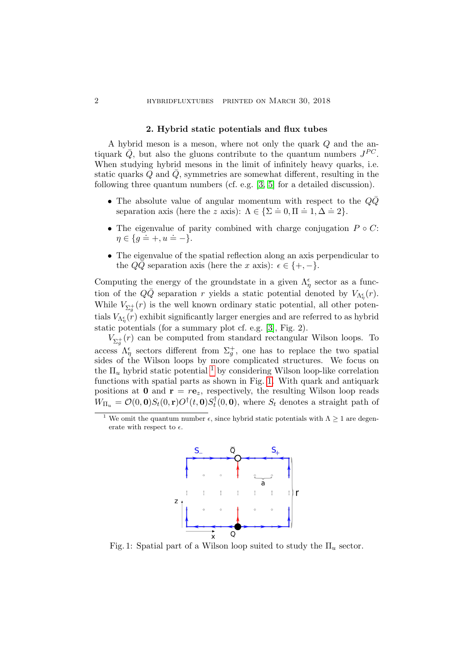#### 2. Hybrid static potentials and flux tubes

A hybrid meson is a meson, where not only the quark Q and the antiquark  $\overline{Q}$ , but also the gluons contribute to the quantum numbers  $J^{PC}$ . When studying hybrid mesons in the limit of infinitely heavy quarks, i.e. static quarks Q and  $\overline{Q}$ , symmetries are somewhat different, resulting in the following three quantum numbers (cf. e.g. [\[3,](#page-5-2) [5\]](#page-5-4) for a detailed discussion).

- The absolute value of angular momentum with respect to the  $Q\bar{Q}$ separation axis (here the z axis):  $\Lambda \in \{\Sigma = 0, \Pi = 1, \Delta = 2\}.$
- The eigenvalue of parity combined with charge conjugation  $P \circ C$ : The eigenvalue of  $\uparrow$ <br> $\eta \in \{g = +, u = -\}.$
- The eigenvalue of the spatial reflection along an axis perpendicular to the  $QQ$  separation axis (here the x axis):  $\epsilon \in \{+, -\}.$

Computing the energy of the groundstate in a given  $\Lambda_{\eta}^{\epsilon}$  sector as a function of the  $Q\bar{Q}$  separation r yields a static potential denoted by  $V_{\Lambda^{\epsilon}_{\eta}}(r)$ . While  $V_{\Sigma_g^+}(r)$  is the well known ordinary static potential, all other potentials  $V_{\Lambda^{\epsilon}_{\eta}}(r)$  exhibit significantly larger energies and are referred to as hybrid static potentials (for a summary plot cf. e.g. [\[3\]](#page-5-2), Fig. 2).

 $V_{\Sigma_g^+}(r)$  can be computed from standard rectangular Wilson loops. To access  $\Lambda_{\eta}^{\epsilon}$  sectors different from  $\Sigma_{g}^{+}$ , one has to replace the two spatial sides of the Wilson loops by more complicated structures. We focus on the  $\Pi_u$  hybrid static potential <sup>[1](#page-1-0)</sup> by considering Wilson loop-like correlation functions with spatial parts as shown in Fig. [1.](#page-1-1) With quark and antiquark positions at 0 and  $\mathbf{r} = r\mathbf{e}_z$ , respectively, the resulting Wilson loop reads  $W_{\Pi_u} = \mathcal{O}(0, 0) S_t(0, r) O^{\dagger}(t, 0) S_t^{\dagger}$  $t_t^{\dagger}(0,0)$ , where  $S_t$  denotes a straight path of

<span id="page-1-1"></span><span id="page-1-0"></span><sup>&</sup>lt;sup>1</sup> We omit the quantum number  $\epsilon$ , since hybrid static potentials with  $\Lambda \geq 1$  are degenerate with respect to  $\epsilon$ .



Fig. 1: Spatial part of a Wilson loop suited to study the  $\Pi_u$  sector.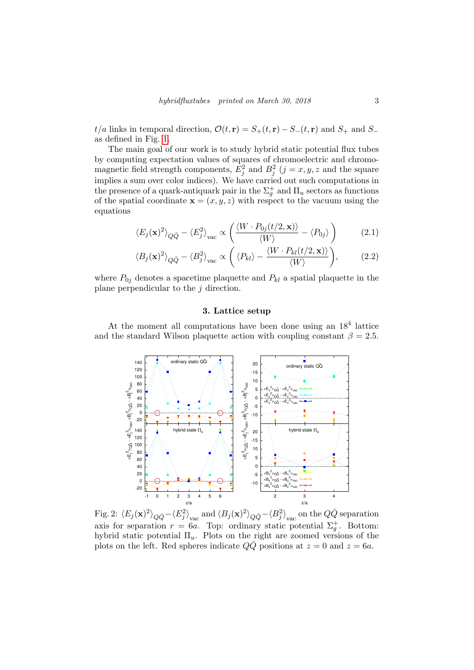$t/a$  links in temporal direction,  $\mathcal{O}(t, \mathbf{r}) = S_+(t, \mathbf{r}) - S_-(t, \mathbf{r})$  and  $S_+$  and  $S_$ as defined in Fig. [1.](#page-1-1)

The main goal of our work is to study hybrid static potential flux tubes by computing expectation values of squares of chromoelectric and chromomagnetic field strength components,  $E_j^2$  and  $B_j^2$   $(j = x, y, z$  and the square implies a sum over color indices). We have carried out such computations in the presence of a quark-antiquark pair in the  $\Sigma_g^+$  and  $\Pi_u$  sectors as functions of the spatial coordinate  $\mathbf{x} = (x, y, z)$  with respect to the vacuum using the equations

$$
\langle E_j(\mathbf{x})^2 \rangle_{Q\bar{Q}} - \langle E_j^2 \rangle_{\text{vac}} \propto \left( \frac{\langle W \cdot P_{0j}(t/2, \mathbf{x}) \rangle}{\langle W \rangle} - \langle P_{0j} \rangle \right) \tag{2.1}
$$

$$
\langle B_j(\mathbf{x})^2 \rangle_{Q\bar{Q}} - \langle B_j^2 \rangle_{\text{vac}} \propto \left( \langle P_{kl} \rangle - \frac{\langle W \cdot P_{kl}(t/2, \mathbf{x}) \rangle}{\langle W \rangle} \right), \tag{2.2}
$$

where  $P_{0i}$  denotes a spacetime plaquette and  $P_{kl}$  a spatial plaquette in the plane perpendicular to the  $j$  direction.

# 3. Lattice setup

<span id="page-2-0"></span>At the moment all computations have been done using an  $18<sup>4</sup>$  lattice and the standard Wilson plaquette action with coupling constant  $\beta = 2.5$ .



Fig. 2:  $\langle E_j(\mathbf{x})^2 \rangle_{Q\bar{Q}} - \langle E_j^2 \rangle_{\text{vac}}$  and  $\langle B_j(\mathbf{x})^2 \rangle_{Q\bar{Q}} - \langle B_j^2 \rangle_{\text{vac}}$  on the  $Q\bar{Q}$  separation axis for separation  $r = 6a$ . Top: ordinary static potential  $\Sigma_g^+$ . Bottom: hybrid static potential  $\Pi_u$ . Plots on the right are zoomed versions of the plots on the left. Red spheres indicate  $Q\overline{Q}$  positions at  $z = 0$  and  $z = 6a$ .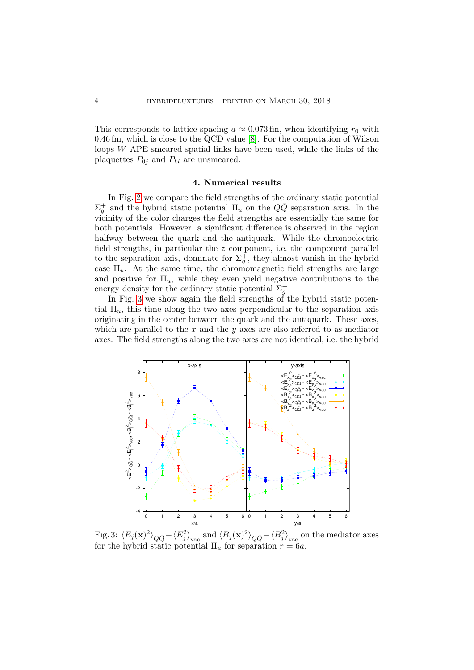This corresponds to lattice spacing  $a \approx 0.073$  fm, when identifying  $r_0$  with 0.46 fm, which is close to the QCD value [\[8\]](#page-5-7). For the computation of Wilson loops W APE smeared spatial links have been used, while the links of the plaquettes  $P_{0j}$  and  $P_{kl}$  are unsmeared.

### 4. Numerical results

<span id="page-3-0"></span>In Fig. [2](#page-2-0) we compare the field strengths of the ordinary static potential  $\Sigma_g^+$  and the hybrid static potential  $\Pi_u$  on the  $Q\bar{Q}$  separation axis. In the vicinity of the color charges the field strengths are essentially the same for both potentials. However, a significant difference is observed in the region halfway between the quark and the antiquark. While the chromoelectric field strengths, in particular the  $z$  component, i.e. the component parallel to the separation axis, dominate for  $\Sigma_g^+$ , they almost vanish in the hybrid case  $\Pi_u$ . At the same time, the chromomagnetic field strengths are large and positive for  $\Pi_u$ , while they even yield negative contributions to the energy density for the ordinary static potential  $\Sigma_g^+$ .

In Fig. [3](#page-3-1) we show again the field strengths of the hybrid static potential  $\Pi_u$ , this time along the two axes perpendicular to the separation axis originating in the center between the quark and the antiquark. These axes, which are parallel to the x and the y axes are also referred to as mediator axes. The field strengths along the two axes are not identical, i.e. the hybrid

<span id="page-3-1"></span>

Fig. 3:  $\langle E_j(\mathbf{x})^2 \rangle_{Q\bar{Q}} - \langle E_j^2 \rangle_{\text{vac}}$  and  $\langle B_j(\mathbf{x})^2 \rangle_{Q\bar{Q}} - \langle B_j^2 \rangle_{\text{vac}}$  on the mediator axes for the hybrid static potential  $\Pi_u$  for separation  $r = 6a$ .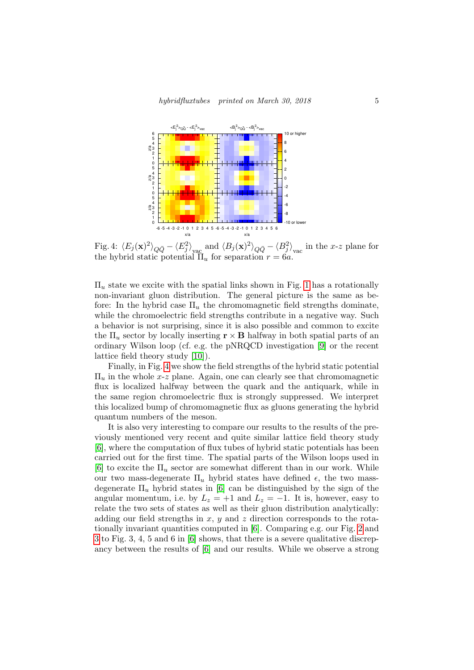<span id="page-4-0"></span>

Fig. 4:  $\langle E_j(\mathbf{x})^2 \rangle_{Q\bar{Q}} - \langle E_j^2 \rangle_{\text{vac}}$  and  $\langle B_j(\mathbf{x})^2 \rangle_{Q\bar{Q}} - \langle B_j^2 \rangle_{\text{vac}}$  in the x-z plane for the hybrid static potential  $\mathbb{H}_u$  for separation  $r = 6a$ .

 $\Pi_u$  state we excite with the spatial links shown in Fig. [1](#page-1-1) has a rotationally non-invariant gluon distribution. The general picture is the same as before: In the hybrid case  $\Pi_u$  the chromomagnetic field strengths dominate, while the chromoelectric field strengths contribute in a negative way. Such a behavior is not surprising, since it is also possible and common to excite the  $\Pi_u$  sector by locally inserting  $\mathbf{r} \times \mathbf{B}$  halfway in both spatial parts of an ordinary Wilson loop (cf. e.g. the pNRQCD investigation [\[9\]](#page-5-8) or the recent lattice field theory study [\[10\]](#page-5-9)).

Finally, in Fig. [4](#page-4-0) we show the field strengths of the hybrid static potential  $\Pi_u$  in the whole x-z plane. Again, one can clearly see that chromomagnetic flux is localized halfway between the quark and the antiquark, while in the same region chromoelectric flux is strongly suppressed. We interpret this localized bump of chromomagnetic flux as gluons generating the hybrid quantum numbers of the meson.

It is also very interesting to compare our results to the results of the previously mentioned very recent and quite similar lattice field theory study [\[6\]](#page-5-5), where the computation of flux tubes of hybrid static potentials has been carried out for the first time. The spatial parts of the Wilson loops used in [\[6\]](#page-5-5) to excite the  $\Pi_u$  sector are somewhat different than in our work. While our two mass-degenerate  $\Pi_u$  hybrid states have defined  $\epsilon$ , the two massdegenerate  $\Pi_u$  hybrid states in [\[6\]](#page-5-5) can be distinguished by the sign of the angular momentum, i.e. by  $L_z = +1$  and  $L_z = -1$ . It is, however, easy to relate the two sets of states as well as their gluon distribution analytically: adding our field strengths in x,  $y$  and z direction corresponds to the rotationally invariant quantities computed in [\[6\]](#page-5-5). Comparing e.g. our Fig. [2](#page-2-0) and [3](#page-3-1) to Fig. 3, 4, 5 and 6 in [\[6\]](#page-5-5) shows, that there is a severe qualitative discrepancy between the results of [\[6\]](#page-5-5) and our results. While we observe a strong